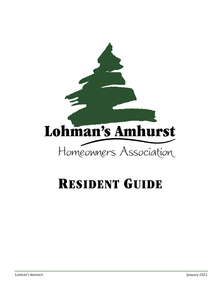

# **RESIDENT GUIDE**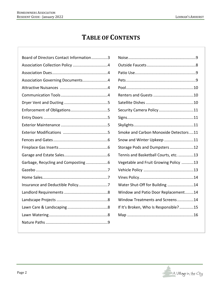# **TABLE OF CONTENTS**

| Board of Directors Contact Information3 |                                        |
|-----------------------------------------|----------------------------------------|
|                                         |                                        |
|                                         |                                        |
| Association Governing Documents4        |                                        |
|                                         |                                        |
|                                         |                                        |
|                                         |                                        |
|                                         | Security Camera Policy11               |
|                                         |                                        |
|                                         |                                        |
|                                         | Smoke and Carbon Monoxide Detectors 11 |
|                                         | Snow and Winter Upkeep 11              |
|                                         | Storage Pods and Dumpsters12           |
|                                         | Tennis and Basketball Courts, etc. 13  |
| Garbage, Recycling and Composting 6     | Vegetable and Fruit Growing Policy 13  |
|                                         |                                        |
|                                         |                                        |
|                                         | Water Shut-Off for Building 14         |
|                                         | Window and Patio Door Replacement14    |
|                                         | Window Treatments and Screens14        |
|                                         | If It's Broken, Who Is Responsible?15  |
|                                         |                                        |
|                                         |                                        |
|                                         |                                        |

| Security Camera Policy11               |  |
|----------------------------------------|--|
|                                        |  |
|                                        |  |
| Smoke and Carbon Monoxide Detectors 11 |  |
| Snow and Winter Upkeep 11              |  |
| Storage Pods and Dumpsters12           |  |
| Tennis and Basketball Courts, etc. 13  |  |
| Vegetable and Fruit Growing Policy 13  |  |
|                                        |  |
|                                        |  |
| Water Shut-Off for Building 14         |  |
| Window and Patio Door Replacement14    |  |
| Window Treatments and Screens14        |  |
| If It's Broken, Who Is Responsible?15  |  |
|                                        |  |
|                                        |  |

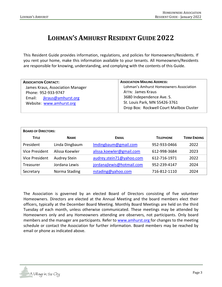# **LOHMAN'S AMHURST RESIDENT GUIDE 2022**

This Resident Guide provides information, regulations, and policies for Homeowners/Residents. If you rent your home, make this information available to your tenants. All Homeowners/Residents are responsible for knowing, understanding, and complying with the contents of this Guide.

| <b>ASSOCIATION CONTACT:</b>      | <b>ASSOCIATION MAILING ADDRESS:</b>      |  |
|----------------------------------|------------------------------------------|--|
| James Kraus, Association Manager | Lohman's Amhurst Homeowners Association  |  |
| Phone: 952-933-9747              | <b>ATTN: James Kraus</b>                 |  |
| Email: jkraus@amhurst.org        | 3680 Independence Ave. S.                |  |
| Website: www.amhurst.org         | St. Louis Park, MN 55426-3761            |  |
|                                  | Drop Box: Rockwell Court Mailbox Cluster |  |

| <b>BOARD OF DIRECTORS:</b> |                |                           |                  |                    |  |
|----------------------------|----------------|---------------------------|------------------|--------------------|--|
| <b>TITLE</b>               | <b>NAME</b>    | <b>EMAIL</b>              | <b>TELEPHONE</b> | <b>TERM ENDING</b> |  |
| President                  | Linda Dingbaum | Imdingbaum@gmail.com      | 952-933-0466     | 2022               |  |
| <b>Vice President</b>      | Alissa Koewler | alissa.koewler@gmail.com  | 612-998-3684     | 2023               |  |
| <b>Vice President</b>      | Audrey Stein   | audrey.stein71@yahoo.com  | 612-716-1971     | 2022               |  |
| Treasurer                  | Jordana Lewis  | jordanajlewis@hotmail.com | 952-239-4147     | 2024               |  |
| Secretary                  | Norma Stading  | nstading@yahoo.com        | 716-812-1110     | 2024               |  |

The Association is governed by an elected Board of Directors consisting of five volunteer Homeowners. Directors are elected at the Annual Meeting and the board members elect their officers, typically at the December Board Meeting. Monthly Board Meetings are held on the third Tuesday of each month, unless otherwise communicated. These meetings may be attended by Homeowners only and any Homeowners attending are observers, not participants. Only board members and the manager are participants. Refer to [www.amhurst.org](http://www.amhurst.org/) for changes to the meeting schedule or contact the Association for further information. Board members may be reached by email or phone as indicated above.

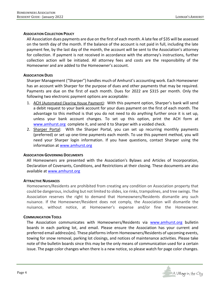# **ASSOCIATION COLLECTION POLICY**

All Association dues payments are due on the first of each month. A late fee of \$35 will be assessed on the tenth day of the month. If the balance of the account is not paid in full, including the late payment fee, by the last day of the month, the account will be sent to the Association's attorney for collection. If payment is not received in accordance with the attorney's instructions, further collection action will be initiated. All attorney fees and costs are the responsibility of the Homeowner and are added to the Homeowner's account.

# **ASSOCIATION DUES**

Sharper Management ("Sharper") handles much of Amhurst's accounting work. Each Homeowner has an account with Sharper for the purpose of dues and other payments that may be required. Payments are due on the first of each month. Dues for 2022 are \$315 per month. Only the following two electronic payment options are acceptable:

- 1. ACH (Automated Clearing House Payment): With this payment option, Sharper's bank will send a debit request to your bank account for your dues payment on the first of each month. The advantage to this method is that you do not need to do anything further once it is set up, unless your bank account changes. To set up this option, print the ACH form at [www.amhurst.org](http://www.amhurst.org/) complete it, and send it to Sharper with a voided check.
- 2. Sharper Portal: With the Sharper Portal, you can set up recurring monthly payments (preferred) or set up one-time payments each month. To use this payment method, you will need your Sharper login information. If you have questions, contact Sharper using the information at [www.amhurst.org](http://www.amhurst.org/)

# **ASSOCIATION GOVERNING DOCUMENTS**

All Homeowners are presented with the Association's Bylaws and Articles of Incorporation, Declaration of Covenants, Conditions, and Restrictions at their closing. These documents are also available at [www.amhurst.org](http://www.amhurst.org/)

# **ATTRACTIVE NUISANCES**

Homeowners/Residents are prohibited from creating any condition on Association property that could be dangerous, including but not limited to slides, ice rinks, trampolines, and tree swings. The Association reserves the right to demand that Homeowners/Residents dismantle any such nuisance. If the Homeowner/Resident does not comply, the Association will dismantle the nuisance, without notice, at Homeowner's expense and/or fine the Homeowner.

# **COMMUNICATION TOOLS**

The Association communicates with Homeowners/Residents via [www.amhurst.org](http://www.amhurst.org/) bulletin boards in each parking lot, and email. Please ensure the Association has your current and preferred email address(es). These platforms inform Homeowners/Residents of upcoming events, towing for snow removal, parking lot closings, and notices of maintenance activities. Please take note of the bulletin boards since this may be the only means of communication used for a certain issue. The page color changes when there is a new notice, so please watch for page color changes.

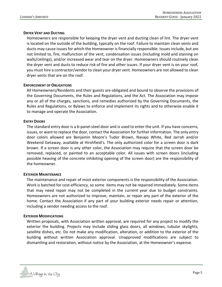#### **DRYER VENT AND DUCTING**

Homeowners are responsible for keeping the dryer vent and ducting clean of lint. The dryer vent is located on the outside of the building, typically on the roof. Failure to maintain clean vents and ducts may cause issues for which the Homeowner is financially responsible. Issues include, but are not limited to, fire, malfunction of the vent, condensation issues (including mold and staining on walls/ceilings), and/or increased wear and tear on the dryer. Homeowners should routinely clean the dryer vent and ducts to reduce risk of fire and other issues. If your dryer vent is on your roof, you must hire a contractor/vendor to clean your dryer vent. Homeowners are not allowed to clean dryer vents that are on the roof.

#### **ENFORCEMENT OF OBLIGATIONS**

All Homeowners/Residents and their guests are obligated and bound to observe the provisions of the Governing Documents, the Rules and Regulations, and the Act. The Association may impose any or all of the charges, sanctions, and remedies authorized by the Governing Documents, the Rules and Regulations, or Bylaws to enforce and implement its rights and to otherwise enable it to manage and operate the Association.

#### **ENTRY DOORS**

The standard entry door is a 6-panel steel door and is used to enter the unit. If you have concerns, issues, or want to replace the door, contact the Association for further information. The only entry door colors allowed are Benjamin Moore's Tudor Brown, Navajo White, Red Jarrah and/or Weekend Getaway, available at Hirshfield's. The only authorized color for a screen door is dark brown. If a screen door is any other color, the Association may require that the screen door be removed, replaced, or painted to an acceptable color. All issues with screen doors (including possible heaving of the concrete inhibiting opening of the screen door) are the responsibility of the homeowner.

#### **EXTERIOR MAINTENANCE**

The maintenance and repair of most exterior components is the responsibility of the Association. Work is batched for cost-efficiency, so some items may not be repaired immediately. Some items that may need repair may not be completed in the current year due to budget constraints. Homeowners are not authorized to improve, maintain, or repair any part of the exterior of the home. Contact the Association if any part of your building exterior needs repair or attention, including a vendor needing access to the roof.

#### **EXTERIOR MODIFICATIONS**

Written proposals, with Association written approval, are required for any project to modify the exterior the building. Projects may include sliding glass doors, all windows, tubular skylights, satellite dishes, etc. Do not make any modification, alteration, or addition to the exterior of the building without written Association approval. Unapproved modifications are subject to dismantling and restoration, without notice by the Association, at the Homeowner's expense.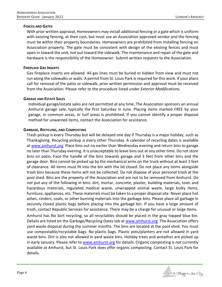# **FENCES AND GATES**

With prior written approval, Homeowners may install additional fencing or a gate which is uniform with existing fencing, at their cost, but must use an Association approved vendor and the fencing must be within their property boundaries. Homeowners are prohibited from installing fencing on Association property. The gate must be consistent with design of the existing fences and must open in toward the unit, not out toward the sidewalk. The maintenance and repair of the gate and hardware is the responsibility of the Homeowner. Submit written requests to the Association.

# **FIREPLACE GAS INSERTS**

Gas fireplace inserts are allowed. All gas lines must be buried or hidden from view and must not run along the sidewalks or walls. A permit from St. Louis Park is required for this work. If your plans call for removal of the patio or sidewalk, prior written permission and approval must be received from the Association. Please refer to the procedure listed under *Exterior Modifications.*

# **GARAGE AND ESTATE SALES**

Individual garage/estate sales are not permitted at any time. The Association sponsors an annual Amhurst garage sale, typically the first Saturday in June. Placing items marked FREE by your garage, in common areas, or turf areas is prohibited. If you cannot identify a proper disposal method for unwanted items, contact the Association for assistance.

# **GARBAGE, RECYCLING, AND COMPOSTING**

Trash pickup is every Thursday but will be delayed one day if Thursday is a major holiday, such as Thanksgiving. Recycling pickup is every other Thursday. A calendar of recycling dates is available at [www.amhurst.org](http://www.amhurst.org/) Place bins out no earlier than Wednesday evening and return bins to garage no later than Thursday evening. It is unacceptable to leave bins out at any other time. Do not store bins on patio. Face the handle of the bins towards garage and 3 feet from other bins and the garage door. Bins cannot be picked up by the mechanical arms on the truck without at least 3 feet of clearance. All items must fit into the bin with the lid closed. Do not place any items alongside trash bins because these items will not be collected. Do not dispose of your personal trash at the pool shed. Bins are the property of the Association and are not to be removed from Amhurst. Do not put any of the following in bins: dirt, mortar, concrete, plaster, building materials, toxic and hazardous materials, regulated medical waste, unwrapped animal waste, large bulky items, furniture, appliances, etc. These materials must be taken to a proper disposal site. Never place hot ashes, cinders, coals, or other burning materials into the garbage bins. Please place all garbage in securely closed plastic bags before placing into the garbage bin. If you have a large amount of trash, contact Republic Services for assistance. There may be a charge for unusual or large items.

Amhurst has No Sort recycling, so all recyclables should be placed in the gray topped blue bin. Details are listed on the Garbage/Recycling Dates tab at [www.amhurst.org](http://www.amhurst.org/) The Association offers yard waste disposal during the summer months. The bins are located at the pool shed. You must use compostable/recyclable bags. No plastic bags. Plastic pots/planters are not allowed in yard waste bins. Dirt is also not allowed in yard waste bins. Holiday trees and wreathes are picked up in early January. Please refer t[o www.amhurst.org](http://www.amhurst.org/) for details. Organic composting is not currently available at Amhurst, but St. Louis Park does offer organic composting. Contact St. Louis Park for details.

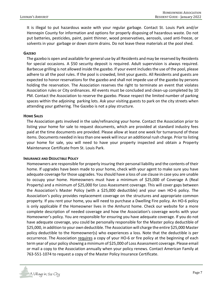It is illegal to put hazardous waste with your regular garbage. Contact St. Louis Park and/or Hennepin County for information and options for properly disposing of hazardous waste. Do not put batteries, pesticides, paint, paint thinner, wood preservatives, aerosols, used anti-freeze, or solvents in your garbage or down storm drains. Do not leave these materials at the pool shed.

#### **GAZEBO**

The gazebo is open and available for general use by all Residents and may be reserved by Residents for special occasions. A \$50 security deposit is required. Adult supervision is always required. Barbecue grilling is not allowed inside the gazebo. If your event includes the use of the pool, please adhere to all the pool rules. If the pool is crowded, limit your guests. All Residents and guests are expected to honor reservations for the gazebo and shall not impede use of the gazebo by persons holding the reservation. The Association reserves the right to terminate an event that violates Association rules or City ordinances. All events must be concluded and clean-up completed by 10 PM. Contact the Association to reserve the gazebo. Please respect the limited number of parking spaces within the adjoining parking lots. Ask your visiting guests to park on the city streets when attending your gathering. The Gazebo is not a play structure.

#### **HOME SALES**

The Association gets involved in the sale/refinancing your home. Contact the Association prior to listing your home for sale to request documents, which are provided at standard industry fees paid at the time documents are provided. Please allow at least one week for turnaround of these items. Documents needed in less than one week will incur an additional rush charge. Prior to listing your home for sale, you will need to have your property inspected and obtain a Property Maintenance Certificate from St. Louis Park.

#### **INSURANCE AND DEDUCTIBLE POLICY**

Homeowners are responsible for properly insuring their personal liability and the contents of their home. If upgrades have been made to your home, check with your agent to make sure you have adequate coverage for those upgrades. You should have a loss of use clause in case you are unable to occupy your home. Homeowners must have a minimum of \$25,000 of Coverage A (Real Property) and a minimum of \$25,000 for Loss Assessment coverage. This will cover gaps between the Association's Master Policy (with a \$25,000 deductible) and your own HO-6 policy. The Association's policy provides replacement coverage on the structures and appropriate common property. If you rent your home, you will need to purchase a Dwelling Fire policy. An HO-6 policy is only applicable if the Homeowner lives in the Amhurst home. Check our website for a more complete description of needed coverage and how the Association's coverage works with your Homeowner's policy. You are responsible for ensuring you have adequate coverage. If you do not have adequate coverage, you could be personally responsible for the Master policy deductible of \$25,000, in addition to your own deductible. The Association will charge the entire \$25,000 Master policy deductible to the Homeowner(s) who experiences a loss. Note that the deductible is per occurrence. The Association requires a copy of your HO-6 or fire policy at the beginning of each term year of your policy showing a minimum of \$25,000 of Loss Assessment coverage. Please email or mail a copy to the Association annually when your policy renews. Contact American Family at 763-551-1074 to request a copy of the Master Policy Insurance Certificate.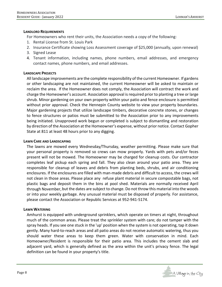#### **LANDLORD REQUIREMENTS**

For Homeowners who rent their units, the Association needs a copy of the following:

- 1. Rental License from St. Louis Park
- 2. Insurance Certificate showing Loss Assessment coverage of \$25,000 (annually, upon renewal)
- 3. Signed Lease
- 4. Tenant information, including names, phone numbers, email addresses, and emergency contact names, phone numbers, and email addresses.

#### **LANDSCAPE PROJECTS**

All landscape improvements are the complete responsibility of the current Homeowner. If gardens or other landscaping are not maintained, the current Homeowner will be asked to maintain or reclaim the area. If the Homeowner does not comply, the Association will contract the work and charge the Homeowner's account. Association approval is required prior to planting a tree or large shrub. Minor gardening on your own property within your patio and fence enclosure is permitted without prior approval. Check the Hennepin County website to view your property boundaries. Major gardening projects that utilize landscape timbers, decorative concrete stones, or changes to fence structures or patios must be submitted to the Association prior to any improvements being initiated. Unapproved work begun or completed is subject to dismantling and restoration by direction of the Association at the Homeowner's expense, without prior notice. Contact Gopher State at 811 at least 48 hours prior to any digging.

#### **LAWN CARE AND LANDSCAPING**

The lawns are mowed every Wednesday/Thursday, weather permitting. Please make sure that your personal property is removed so crews can mow properly. Yards with pets and/or feces present will not be mowed. The Homeowner may be charged for cleanup costs. Our contractor completes leaf pickup each spring and fall. They also clean around your patio area. They are responsible for cleanup of leaves and debris from planting beds, shrubs, and air conditioning enclosures. If the enclosures are filled with man-made debris and difficult to access, the crews will not clean in those areas. Please place any refuse plant material in secure compostable bags, not plastic bags and deposit them in the bins at pool shed. Materials are normally received April through November, but the dates are subject to change. Do not throw this material into the woods or into your weekly garbage. Any unusual material must be disposed of properly. For assistance, please contact the Association or Republic Services at 952-941-5174.

#### **LAWN WATERING**

Amhurst is equipped with underground sprinklers, which operate on timers at night, throughout much of the common areas. Please treat the sprinkler system with care; do not tamper with the spray heads. If you see one stuck in the 'up' position when the system is not operating, tap it down gently. Many hard-to-reach areas and all patio areas do not receive automatic watering, thus you should water these areas to keep them green. Water with conservation in mind. Each Homeowner/Resident is responsible for their patio area. This includes the cement slab and adjacent yard, which is generally defined as the area within the unit's privacy fence. The legal definition can be found in your property's title.

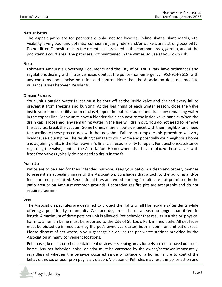#### **NATURE PATHS**

The asphalt paths are for pedestrians only: not for bicycles, in-line skates, skateboards, etc. Visibility is very poor and potential collisions injuring riders and/or walkers are a strong possibility. Do not litter. Deposit trash in the receptacles provided in the common areas, gazebo, and at the pool/tennis court area. The paths are not maintained in the winter, so use at your own risk.

#### **NOISE**

Lohman's Amhurst's Governing Documents and the City of St. Louis Park have ordinances and regulations dealing with intrusive noise. Contact the police (non-emergency: 952-924-2618) with any concerns about noise pollution and control. Note that the Association does not mediate nuisance issues between Residents.

#### **OUTSIDE FAUCETS**

Your unit's outside water faucet must be shut off at the inside valve and drained every fall to prevent it from freezing and bursting. At the beginning of each winter season, close the valve inside your home's utility room or closet, open the outside faucet and drain any remaining water in the copper line. Many units have a bleeder drain cap next to the inside valve handle. When the drain cap is loosened, any remaining water in the line will drain out. You do not need to remove the cap; just break the vacuum. Some homes share an outside faucet with their neighbor and need to coordinate these procedures with that neighbor. Failure to complete this procedure will very likely cause a burst pipe. The resulting damage to your home and potentially your neighbor's home and adjoining units, is the Homeowner's financial responsibility to repair. For questions/assistance regarding the valve, contact the Association. Homeowners that have replaced these valves with frost free valves typically do not need to drain in the fall.

#### **PATIO USE**

Patios are to be used for their intended purpose. Keep your patio in a clean and orderly manner to present an appealing image of the Association. Sunshades that attach to the building and/or fence are not permitted. Recreational fires and wood burning fire pits are not permitted in the patio area or on Amhurst common grounds. Decorative gas fire pits are acceptable and do not require a permit.

#### **PETS**

The Association pet rules are designed to protect the rights of all Homeowners/Residents while offering a pet friendly community. Cats and dogs must be on a leash no longer than 6 feet in length. A maximum of three pets per unit is allowed. Pet behavior that results in a bite or physical harm to a human being must be reported to the City of St. Louis Park immediately. All pet feces must be picked up immediately by the pet's owner/caretaker, both in common and patio areas. Please dispose of pet waste in your garbage bin or use the pet waste stations provided by the Association at many convenient locations.

Pet houses, kennels, or other containment devices or sleeping areas for pets are not allowed outside a home. Any pet behavior, noise, or odor must be corrected by the owner/caretaker immediately, regardless of whether the behavior occurred inside or outside of a home. Failure to control the behavior, noise, or odor promptly is a violation. Violation of Pet rules may result in police action and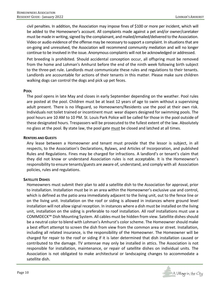civil penalties. In addition, the Association may impose fines of \$100 or more per incident, which will be added to the Homeowner's account. All complaints made against a pet and/or owner/caretaker must be made in writing, signed by the complainant, and mailed/emailed/delivered to the Association. Video or audio evidence of the offense may be necessary to support a complaint. In situations that are on-going and unresolved, the Association will recommend community mediation and will no longer continue to be involved in the issue. Anonymous complaints will not be acknowledged or addressed.

Pet breeding is prohibited. Should accidental conception occur, all offspring must be removed from the home and Lohman's Amhurst before the end of the ninth week following birth subject to the three-pet rule. Landlords must communicate these rules and regulations to their tenants. Landlords are accountable for actions of their tenants in this matter. Please make sure children walking dogs can control the dogs and pick up pet feces.

#### **POOL**

The pool opens in late May and closes in early September depending on the weather. Pool rules are posted at the pool. Children must be at least 12 years of age to swim without a supervising adult present. There is no lifeguard, so Homeowners/Residents use the pool at their own risk. Individuals not toilet trained or incontinent must wear diapers designed for swimming pools. The pool hours are 10 AM to 10 PM. St. Louis Park Police will be called for those in the pool outside of these designated hours. Trespassers will be prosecuted to the fullest extent of the law. Absolutely no glass at the pool. By state law, the pool gate must be closed and latched at all times.

# **RENTERS AND GUESTS**

Any lease between a Homeowner and tenant must provide that the lessor is subject, in all respects, to the Association's Declarations, Bylaws, and Articles of Incorporation, and published Rules and Regulations. Fines may be charged for infractions. A landlord's or tenant's claim that they did not know or understand Association rules is not acceptable. It is the Homeowner's responsibility to ensure tenants/guests are aware of, understand, and comply with all Association policies, rules and regulations.

# **SATELLITE DISHES**

Homeowners must submit their plan to add a satellite dish to the Association for approval, prior to installation. Installation must be in an area within the Homeowner's exclusive use and control, which is defined as the patio area immediately adjacent to the living unit, out to the fence line or on the living unit. Installation on the roof or siding is allowed in instances where ground level installation will not allow signal reception. In instances where a dish must be installed on the living unit, installation on the siding is preferable to roof installation. All roof installations must use a COMMDECK™ Dish Mounting System. All cables must be hidden from view. Satellite dishes should be a neutral color to blend with Lohman's Amhurst's color scheme. The Homeowner should make a best effort attempt to screen the dish from view from the common area or street. Installation, including all related insurance, is the responsibility of the Homeowner. The Homeowner will be charged for repair to the roof or siding if it is later determined that dish installation caused or contributed to the damage. TV antennae may only be installed in attics. The Association is not responsible for installation, maintenance, or repair of satellite dishes on individual units. The Association is not obligated to make architectural or landscaping changes to accommodate a satellite dish.

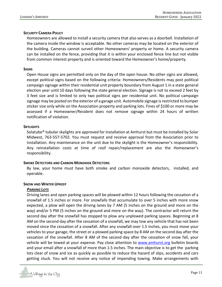#### **SECURITY CAMERA POLICY**

Homeowners are allowed to install a security camera that also serves as a doorbell. Installation of the camera inside the window is acceptable. No other cameras may be located on the exterior of the building. Cameras cannot surveil other Homeowners' property or home. A security camera can be installed on the fence, providing that it is within your enclosed fence line but not visible from common interest property and is oriented toward the Homeowner's home/property.

#### **SIGNS**

Open House signs are permitted only on the day of the open house. No other signs are allowed, except political signs based on the following criteria: Homeowners/Residents may post political campaign signage within their residential unit property boundary from August 1 in a state general election year until 10 days following the state general election. Signage is not to exceed 2 feet by 3 feet size and is limited to only two political signs per residential unit. No political campaign signage may be posted on the exterior of a garage unit. Automobile signage is restricted to bumper sticker size only while on the Association property and parking lots. Fines of \$100 or more may be assessed if a Homeowner/Resident does not remove signage within 24 hours of written notification of violation.

#### **SKYLIGHTS**

Solatube® tubular skylights are approved for installation at Amhurst but must be installed by Solar Midwest, 763-557-5702. You must request and receive approval from the Association prior to installation. Any maintenance on the unit due to the skylight is the Homeowner's responsibility. Any reinstallation costs at time of roof repair/replacement are also the Homeowner's responsibility.

#### **SMOKE DETECTORS AND CARBON MONOXIDE DETECTORS**

By law, your home must have both smoke and carbon monoxide detectors, installed, and operable.

#### **SNOW AND WINTER UPKEEP**

#### *PARKING LOTS*

Driving lanes and open parking spaces will be plowed within 12 hours following the cessation of a snowfall of 1.5 inches or more. For snowfalls that accumulate to over 5 inches with more snow expected, a plow will open the driving lanes by 7 AM (5 inches on the ground and more on the way) and/or 5 PM (5 inches on the ground and more on the way). The contractor will return the second day after the snowfall has stopped to plow any unplowed parking spaces. Beginning at 8 AM on the second day after the cessation of a snowfall, we may tow any vehicle that has not been moved since the cessation of a snowfall. After any snowfall over 1.5 inches, you must move your vehicles to your garage, the street or a plowed parking space by 8 AM on the second day after the cessation of the snowfall. After 8 AM of the second day after the cessation of snow fall, your vehicle will be towed at your expense. Pay close attention to [www.amhurst.org](http://www.amhurst.org/) bulletin boards and your email after a snowfall of more than 1.5 inches. The main objective is to get the parking lots clear of snow and ice as quickly as possible to reduce the hazard of slips, accidents and cars getting stuck. You will not receive any notice of impending towing. Make arrangements with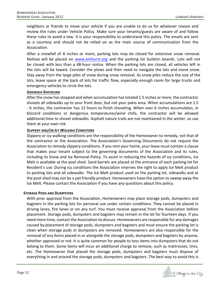neighbors or friends to move your vehicle if you are unable to do so for whatever reason and review the rules under Vehicle Policy. Make sure your tenants/guests are aware of and follow these rules to avoid a tow. It is your responsibility to understand this policy. The emails are sent as a courtesy and should not be relied on as the main source of communication from the Association.

After a snowfall of 8 inches or more, parking lots may be closed for extensive snow removal. Notices will be placed o[n www.amhurst.org](http://www.amhurst.org/) and the parking lot bulletin boards. Lots will not be closed with less than a 48-hour notice. When the parking lots are closed, all vehicles left in the lots will be towed. Consider the plows and their need to navigate the lots and move snow. Stay away from the large piles of snow during snow removal. As snow piles reduce the size of the lots, leave space at the back of lots for traffic flow, especially enough room for large trucks and emergency vehicles to circle the lots.

# *SIDEWALK SHOVELING*

After the snow has stopped and when accumulation has totaled 1.5 inches or more, the contractor shovels all sidewalks up to your front door, but not your patio area. When accumulations are 1.5 - 6 inches, the contractor has 12 hours to finish shoveling. When over 6 inches accumulates, in blizzard conditions or dangerous temperatures/wind chills, the contractor will be allowed additional time to shovel sidewalks Asphalt nature trails are not maintained in the winter, so use them at your own risk.

# *SLIPPERY AND/OR ICY WALKING CONDITIONS*

Slippery or icy walking conditions are the responsibility of the Homeowner to remedy, not that of the contractor or the Association. The Association's Governing Documents do not require the Association to remedy slippery conditions. If you rent your home, your lease must contain a clause that makes your tenant subject to the governing documents of the Association and its rules, including its Snow and Ice Removal Policy. To assist in reducing the hazards of icy conditions, Ice Melt is available at the pool shed. Sand barrels are placed at the entrance of each parking lot for Resident's use. During icy conditions the Association reserves the right to apply Ice Melt product to parking lots and all sidewalks. The Ice Melt product used on the parking lot, sidewalks and at the pool shed may not be a pet friendly product. Homeowners have the option to sweep away the Ice Melt. Please contact the Association if you have any questions about this policy.

#### **STORAGE PODS AND DUMPSTERS**

With prior approval from the Association, Homeowners may place storage pods, dumpsters and bagsters in the parking lots for personal use under certain conditions. They cannot be placed in driving lanes, fire lanes or on any turf. You must receive approval from the Association before placement. Storage pods, dumpsters and bagsters may remain in the lot for fourteen days. If you need more time, contact the Association to discuss. Homeowners are responsible for any damages caused by placement of storage pods, dumpsters and bagsters and must ensure the parking lot is clean when storage pods or dumpsters are removed. Homeowners are also responsible for the removal of any items placed in or alongside the storage pods, dumpsters and bagsters by anyone, whether approved or not. It is quite common for people to toss items into dumpsters that do not belong to them. Some items will incur an additional charge to remove, such as mattresses, tires, etc. The Homeowner that placed the storage pods, dumpsters and bagsters must dispose of everything in and around the storage pods, dumpsters and bagsters. The best way to avoid this is

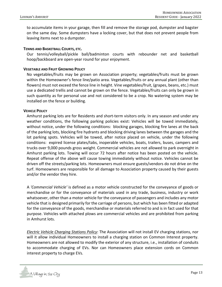to accumulate items in your garage, then fill and remove the storage pod, dumpster and bagster on the same day. Some dumpsters have a locking cover, but that does not prevent people from leaving items next to a dumpster.

#### **TENNIS AND BASKETBALL COURTS, ETC.**

Our tennis/volleyball/pickle ball/badminton courts with rebounder net and basketball hoop/backboard are open-year round for your enjoyment.

#### **VEGETABLE AND FRUIT GROWING POLICY**

No vegetables/fruits may be grown on Association property; vegetables/fruits must be grown within the Homeowner's fence line/patio area. Vegetables/fruits or any annual plant (other than flowers) must not exceed the fence line in height. Vine vegetables/fruit, (grapes, beans, etc.) must use a dedicated trellis and cannot be grown on the fence. Vegetables/fruits can only be grown in such quantity as for personal use and not considered to be a crop. No watering system may be installed on the fence or building.

#### **VEHICLE POLICY**

Amhurst parking lots are for Residents and short-term visitors only. In any season and under any weather conditions, the following parking policies exist: Vehicles will be towed immediately, without notice, under the following conditions: blocking garages, blocking fire lanes at the back of the parking lots, blocking fire hydrants and blocking driving lanes between the garages and the lot parking spots. Vehicles will be towed, after notice placed on vehicle, under the following conditions: expired license plates/tabs, inoperable vehicles, boats, trailers, buses, campers and trucks over 9,000 pounds gross weight. Commercial vehicles are not allowed to park overnight in Amhurst parking lots. Towing will occur 72 hours after notice has been posted on the vehicle. Repeat offense of the above will cause towing immediately without notice. Vehicles cannot be driven off the streets/parking lots. Homeowners must ensure guests/vendors do not drive on the turf. Homeowners are responsible for all damage to Association property caused by their guests and/or the vendor they hire.

A *'Commercial Vehicle'* is defined as a motor vehicle constructed for the conveyance of goods or merchandise or for the conveyance of materials used in any trade, business, industry or work whatsoever, other than a motor vehicle for the conveyance of passengers and includes any motor vehicle that is designed primarily for the carriage of persons, but which has been fitted or adapted for the conveyance of the goods, merchandise or materials referred to and is in fact used for that purpose. Vehicles with attached plows are commercial vehicles and are prohibited from parking in Amhurst lots.

*Electric Vehicle Charging Stations Policy*: The Association will not install EV charging stations, nor will it allow individual Homeowners to install a charging station on Common Interest property. Homeowners are not allowed to modify the exterior of any structure, i.e., installation of conduits to accommodate charging of EVs. Nor can Homeowners place extension cords on Common interest property to charge EVs.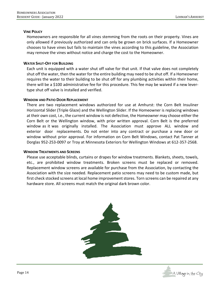#### **VINE POLICY**

Homeowners are responsible for all vines stemming from the roots on their property. Vines are only allowed if previously authorized and can only be grown on brick surfaces. If a Homeowner chooses to have vines but fails to maintain the vines according to this guideline, the Association may remove the vines without notice and charge the cost to the Homeowner.

#### **WATER SHUT-OFF FOR BUILDING**

Each unit is equipped with a water shut off valve for that unit. If that valve does not completely shut off the water, then the water for the entire building may need to be shut off. If a Homeowner requires the water to their building to be shut off for any plumbing activities within their home, there will be a \$100 administrative fee for this procedure. This fee may be waived if a new levertype shut off valve is installed and verified.

#### **WINDOW AND PATIO DOOR REPLACEMENT**

There are two replacement windows authorized for use at Amhurst: the Corn Belt Insuliner Horizontal Slider (Triple Glaze) and the Wellington Slider. If the Homeowner is replacing windows at their own cost, i.e., the current window is not defective, the Homeowner may choose either the Corn Belt or the Wellington window, with prior written approval. Corn Belt is the preferred window as it was originally installed. The Association must approve ALL window and exterior door replacements. Do not enter into any contract or purchase a new door or window without prior approval. For information on Corn Belt Windows, contact Pat Tanner at Dorglas 952-253-0097 or Troy at Minnesota Exteriors for Wellington Windows at 612-357-2568.

#### **WINDOW TREATMENTS AND SCREENS**

Please use acceptable blinds, curtains or drapes for window treatments. Blankets, sheets, towels, etc., are prohibited window treatments. Broken screens must be replaced or removed. Replacement window screens are available for purchase from the Association, by contacting the Association with the size needed. Replacement patio screens may need to be custom made, but first check stocked screens at local home improvement stores. Torn screens can be repaired at any hardware store. All screens must match the original dark brown color.



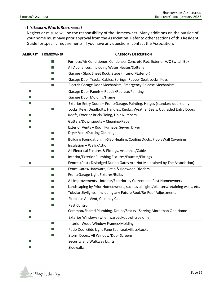#### **IF IT**'**S BROKEN, WHO IS RESPONSIBLE?**

Neglect or misuse will be the responsibility of the Homeowner. Many additions on the outside of your home must have prior approval from the Association. Refer to other sections of this Resident Guide for specific requirements. If you have any questions, contact the Association.

| <b>AMHURST</b> | <b>HOMEOWNER</b>            | <b>CATEGORY DESCRIPTION</b>                                                        |  |
|----------------|-----------------------------|------------------------------------------------------------------------------------|--|
|                | ш                           | Furnace/Air Conditioner, Condenser Concrete Pad, Exterior A/C Switch Box           |  |
|                | a a s                       | All Appliances, including Water Heater/Softener                                    |  |
|                | $\Box$                      | Garage - Slab, Sheet Rock, Steps (Interior/Exterior)                               |  |
|                | ٠                           | Garage Door Tracks, Cables, Springs, Rubber Seal, Locks, Keys                      |  |
|                |                             | Electric Garage Door Mechanism, Emergency Release Mechanism                        |  |
| L.             |                             | Garage Door Panels - Repair/Replace/Painting                                       |  |
| L              |                             | Garage Door Molding/Frame                                                          |  |
| $\Box$         |                             | Exterior Entry Doors - Front/Garage, Painting, Hinges (standard doors only)        |  |
|                |                             | Locks, Keys, Deadbolts, Handles, Knobs, Weather Seals, Upgraded Entry Doors        |  |
| L.             |                             | Roofs, Exterior Brick/Siding, Unit Numbers                                         |  |
| Ш              |                             | Gutters/Downspouts - Cleaning/Repair                                               |  |
| $\sim$         |                             | Exterior Vents - Roof, Furnace, Sewer, Dryer                                       |  |
|                | $\blacksquare$              | <b>Dryer Vent/Ducting Cleaning</b>                                                 |  |
|                | $\blacksquare$              | Building Foundation, In-Slab Heating/Cooling Ducts, Floor/Wall Coverings           |  |
|                | ш                           | Insulation - Walls/Attic                                                           |  |
|                | $\Box$                      | All Electrical Fixtures & Fittings, Antennas/Cable                                 |  |
|                |                             | Interior/Exterior Plumbing Fixtures/Faucets/Fittings                               |  |
| l.             |                             | Fences (Posts Dislodged Due to Gates Are Not Maintained by The Association)        |  |
|                | ш                           | Fence Gates/Hardware, Patio & Redwood Dividers                                     |  |
|                | m.                          | Front/Garage Light Fixtures/Bulbs                                                  |  |
|                | $\blacksquare$              | All Improvements - Interior/Exterior by Current and Past Homeowners                |  |
|                | $\blacksquare$              | Landscaping by Prior Homeowners, such as all lights/planters/retaining walls, etc. |  |
|                | ш                           | Tubular Skylights - Including any Future Roof/Re-Roof Adjustments                  |  |
|                | $\mathcal{L}$               | Fireplace Air Vent, Chimney Cap                                                    |  |
|                | <b>Single Street</b>        | Pest Control                                                                       |  |
| H              |                             | Common/Shared Plumbing, Drains/Stacks - Serving More than One Home                 |  |
| H.             |                             | Exterior Windows (when warped/out-of-true only)                                    |  |
|                | $\mathcal{L}_{\mathcal{A}}$ | <b>Interior Wood Window Frames/Molding</b>                                         |  |
|                | $\blacksquare$              | Patio Door/Side Light Pane Seal Leak/Glass/Locks                                   |  |
|                | m.                          | Storm Doors, All Window/Door Screens                                               |  |
| l.             |                             | Security and Walkway Lights                                                        |  |
| H              |                             | Sidewalks                                                                          |  |